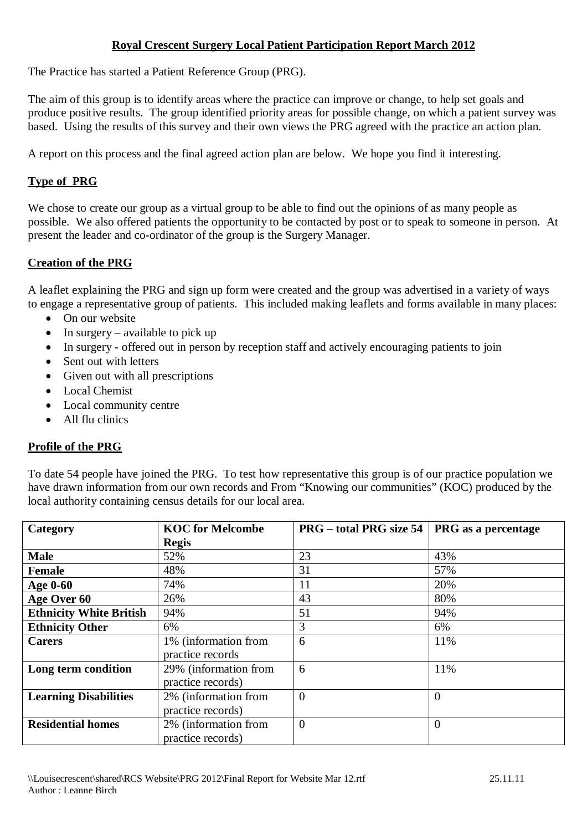### **Royal Crescent Surgery Local Patient Participation Report March 2012**

The Practice has started a Patient Reference Group (PRG).

The aim of this group is to identify areas where the practice can improve or change, to help set goals and produce positive results. The group identified priority areas for possible change, on which a patient survey was based. Using the results of this survey and their own views the PRG agreed with the practice an action plan.

A report on this process and the final agreed action plan are below. We hope you find it interesting.

# **Type of PRG**

We chose to create our group as a virtual group to be able to find out the opinions of as many people as possible. We also offered patients the opportunity to be contacted by post or to speak to someone in person. At present the leader and co-ordinator of the group is the Surgery Manager.

# **Creation of the PRG**

A leaflet explaining the PRG and sign up form were created and the group was advertised in a variety of ways to engage a representative group of patients. This included making leaflets and forms available in many places:

- On our website
- $\bullet$  In surgery available to pick up
- In surgery offered out in person by reception staff and actively encouraging patients to join
- Sent out with letters
- Given out with all prescriptions
- Local Chemist
- Local community centre
- All flu clinics

## **Profile of the PRG**

To date 54 people have joined the PRG. To test how representative this group is of our practice population we have drawn information from our own records and From "Knowing our communities" (KOC) produced by the local authority containing census details for our local area.

| Category                       | <b>KOC</b> for Melcombe | <b>PRG</b> – total PRG size 54 | PRG as a percentage |
|--------------------------------|-------------------------|--------------------------------|---------------------|
|                                | <b>Regis</b>            |                                |                     |
| <b>Male</b>                    | 52%                     | 23                             | 43%                 |
| <b>Female</b>                  | 48%                     | 31                             | 57%                 |
| <b>Age 0-60</b>                | 74%                     | 11                             | 20%                 |
| Age Over 60                    | 26%                     | 43                             | 80%                 |
| <b>Ethnicity White British</b> | 94%                     | 51                             | 94%                 |
| <b>Ethnicity Other</b>         | 6%                      | 3                              | 6%                  |
| <b>Carers</b>                  | 1% (information from    | 6                              | 11%                 |
|                                | practice records        |                                |                     |
| Long term condition            | 29% (information from   | 6                              | 11%                 |
|                                | practice records)       |                                |                     |
| <b>Learning Disabilities</b>   | 2% (information from    | $\overline{0}$                 | $\theta$            |
|                                | practice records)       |                                |                     |
| <b>Residential homes</b>       | 2% (information from    | $\overline{0}$                 | $\overline{0}$      |
|                                | practice records)       |                                |                     |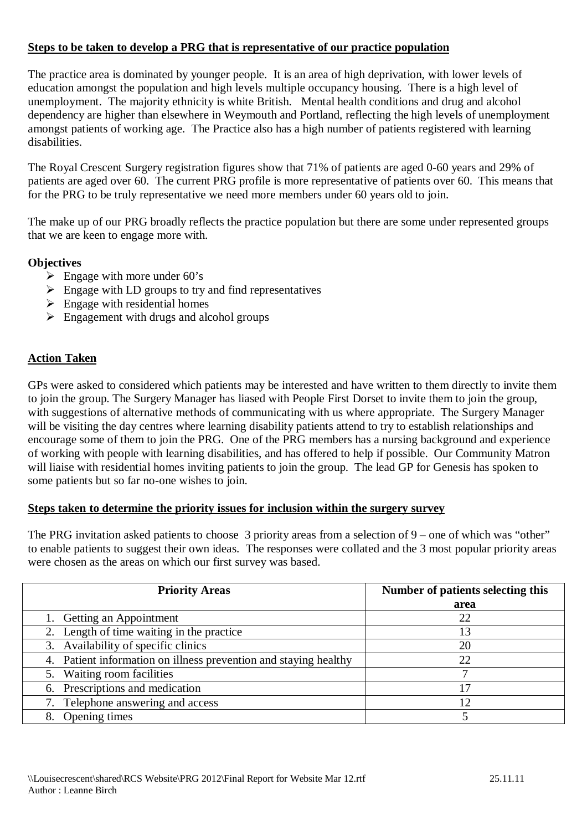### **Steps to be taken to develop a PRG that is representative of our practice population**

The practice area is dominated by younger people. It is an area of high deprivation, with lower levels of education amongst the population and high levels multiple occupancy housing. There is a high level of unemployment. The majority ethnicity is white British. Mental health conditions and drug and alcohol dependency are higher than elsewhere in Weymouth and Portland, reflecting the high levels of unemployment amongst patients of working age. The Practice also has a high number of patients registered with learning disabilities.

The Royal Crescent Surgery registration figures show that 71% of patients are aged 0-60 years and 29% of patients are aged over 60. The current PRG profile is more representative of patients over 60. This means that for the PRG to be truly representative we need more members under 60 years old to join.

The make up of our PRG broadly reflects the practice population but there are some under represented groups that we are keen to engage more with.

#### **Objectives**

- $\triangleright$  Engage with more under 60's
- $\triangleright$  Engage with LD groups to try and find representatives
- $\triangleright$  Engage with residential homes
- $\triangleright$  Engagement with drugs and alcohol groups

## **Action Taken**

GPs were asked to considered which patients may be interested and have written to them directly to invite them to join the group. The Surgery Manager has liased with People First Dorset to invite them to join the group, with suggestions of alternative methods of communicating with us where appropriate. The Surgery Manager will be visiting the day centres where learning disability patients attend to try to establish relationships and encourage some of them to join the PRG. One of the PRG members has a nursing background and experience of working with people with learning disabilities, and has offered to help if possible. Our Community Matron will liaise with residential homes inviting patients to join the group. The lead GP for Genesis has spoken to some patients but so far no-one wishes to join.

#### **Steps taken to determine the priority issues for inclusion within the surgery survey**

The PRG invitation asked patients to choose 3 priority areas from a selection of 9 – one of which was "other" to enable patients to suggest their own ideas. The responses were collated and the 3 most popular priority areas were chosen as the areas on which our first survey was based.

| <b>Priority Areas</b>                                            | Number of patients selecting this |
|------------------------------------------------------------------|-----------------------------------|
|                                                                  | area                              |
| 1. Getting an Appointment                                        | 22                                |
| 2. Length of time waiting in the practice                        |                                   |
| 3. Availability of specific clinics                              | 20                                |
| 4. Patient information on illness prevention and staying healthy | 22                                |
| 5. Waiting room facilities                                       |                                   |
| 6. Prescriptions and medication                                  |                                   |
| 7. Telephone answering and access                                |                                   |
| Opening times                                                    |                                   |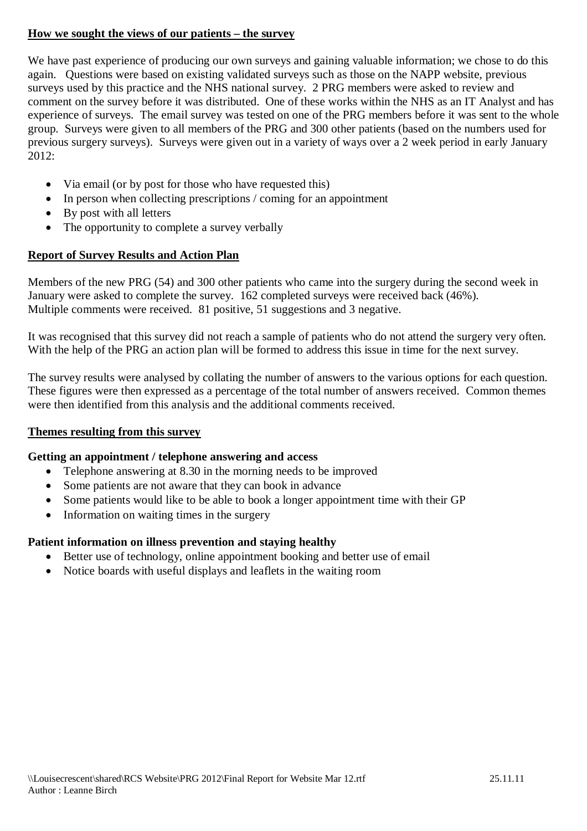## **How we sought the views of our patients – the survey**

We have past experience of producing our own surveys and gaining valuable information; we chose to do this again. Questions were based on existing validated surveys such as those on the NAPP website, previous surveys used by this practice and the NHS national survey. 2 PRG members were asked to review and comment on the survey before it was distributed. One of these works within the NHS as an IT Analyst and has experience of surveys. The email survey was tested on one of the PRG members before it was sent to the whole group. Surveys were given to all members of the PRG and 300 other patients (based on the numbers used for previous surgery surveys). Surveys were given out in a variety of ways over a 2 week period in early January  $2012:$ 

- Via email (or by post for those who have requested this)
- In person when collecting prescriptions / coming for an appointment
- By post with all letters
- The opportunity to complete a survey verbally

## **Report of Survey Results and Action Plan**

Members of the new PRG (54) and 300 other patients who came into the surgery during the second week in January were asked to complete the survey. 162 completed surveys were received back (46%). Multiple comments were received. 81 positive, 51 suggestions and 3 negative.

It was recognised that this survey did not reach a sample of patients who do not attend the surgery very often. With the help of the PRG an action plan will be formed to address this issue in time for the next survey.

The survey results were analysed by collating the number of answers to the various options for each question. These figures were then expressed as a percentage of the total number of answers received. Common themes were then identified from this analysis and the additional comments received.

## **Themes resulting from this survey**

## **Getting an appointment / telephone answering and access**

- Telephone answering at 8.30 in the morning needs to be improved
- Some patients are not aware that they can book in advance
- Some patients would like to be able to book a longer appointment time with their GP
- Information on waiting times in the surgery

## **Patient information on illness prevention and staying healthy**

- Better use of technology, online appointment booking and better use of email
- Notice boards with useful displays and leaflets in the waiting room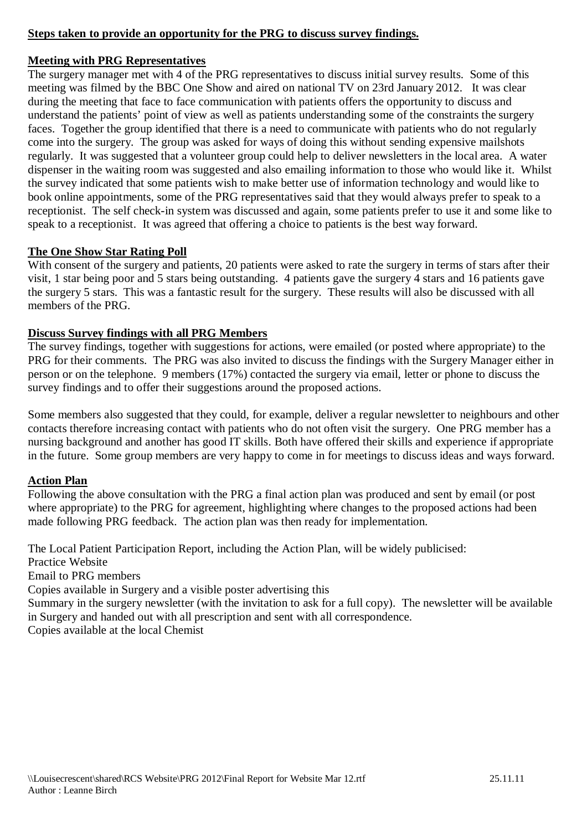## **Steps taken to provide an opportunity for the PRG to discuss survey findings.**

#### **Meeting with PRG Representatives**

The surgery manager met with 4 of the PRG representatives to discuss initial survey results. Some of this meeting was filmed by the BBC One Show and aired on national TV on 23rd January 2012. It was clear during the meeting that face to face communication with patients offers the opportunity to discuss and understand the patients' point of view as well as patients understanding some of the constraints the surgery faces. Together the group identified that there is a need to communicate with patients who do not regularly come into the surgery. The group was asked for ways of doing this without sending expensive mailshots regularly. It was suggested that a volunteer group could help to deliver newsletters in the local area. A water dispenser in the waiting room was suggested and also emailing information to those who would like it. Whilst the survey indicated that some patients wish to make better use of information technology and would like to book online appointments, some of the PRG representatives said that they would always prefer to speak to a receptionist. The self check-in system was discussed and again, some patients prefer to use it and some like to speak to a receptionist. It was agreed that offering a choice to patients is the best way forward.

#### **The One Show Star Rating Poll**

With consent of the surgery and patients, 20 patients were asked to rate the surgery in terms of stars after their visit, 1 star being poor and 5 stars being outstanding. 4 patients gave the surgery 4 stars and 16 patients gave the surgery 5 stars. This was a fantastic result for the surgery. These results will also be discussed with all members of the PRG.

#### **Discuss Survey findings with all PRG Members**

The survey findings, together with suggestions for actions, were emailed (or posted where appropriate) to the PRG for their comments. The PRG was also invited to discuss the findings with the Surgery Manager either in person or on the telephone. 9 members (17%) contacted the surgery via email, letter or phone to discuss the survey findings and to offer their suggestions around the proposed actions.

Some members also suggested that they could, for example, deliver a regular newsletter to neighbours and other contacts therefore increasing contact with patients who do not often visit the surgery. One PRG member has a nursing background and another has good IT skills. Both have offered their skills and experience if appropriate in the future. Some group members are very happy to come in for meetings to discuss ideas and ways forward.

### **Action Plan**

Following the above consultation with the PRG a final action plan was produced and sent by email (or post where appropriate) to the PRG for agreement, highlighting where changes to the proposed actions had been made following PRG feedback. The action plan was then ready for implementation.

The Local Patient Participation Report, including the Action Plan, will be widely publicised: Practice Website

Email to PRG members

Copies available in Surgery and a visible poster advertising this

Summary in the surgery newsletter (with the invitation to ask for a full copy). The newsletter will be available in Surgery and handed out with all prescription and sent with all correspondence.

Copies available at the local Chemist